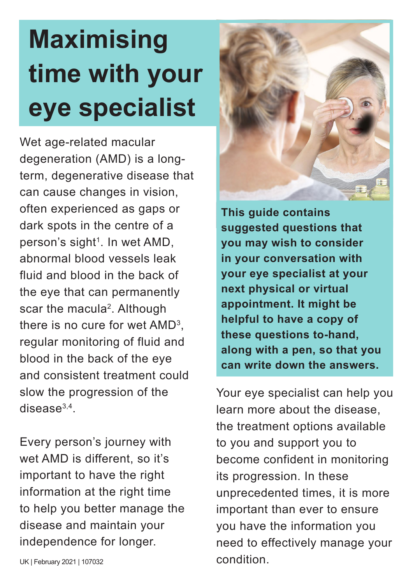## **Maximising time with your eye specialist**

Wet age-related macular degeneration (AMD) is a longterm, degenerative disease that can cause changes in vision, often experienced as gaps or dark spots in the centre of a person's sight<sup>1</sup>. In wet AMD, abnormal blood vessels leak fluid and blood in the back of the eye that can permanently scar the macula<sup>2</sup>. Although there is no cure for wet  $\mathsf{AMD^3},$ regular monitoring of fluid and blood in the back of the eye and consistent treatment could slow the progression of the disease $^{3,4}$ .

Every person's journey with wet AMD is different, so it's important to have the right information at the right time to help you better manage the disease and maintain your independence for longer.



**This guide contains suggested questions that you may wish to consider in your conversation with your eye specialist at your next physical or virtual appointment. It might be helpful to have a copy of these questions to-hand, along with a pen, so that you can write down the answers.**

Your eye specialist can help you learn more about the disease, the treatment options available to you and support you to become confident in monitoring its progression. In these unprecedented times, it is more important than ever to ensure you have the information you need to effectively manage your condition.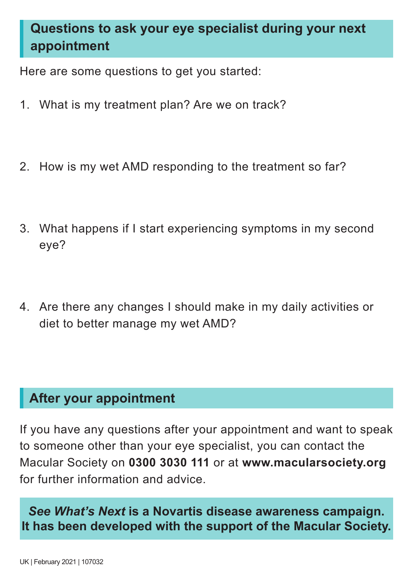## **Questions to ask your eye specialist during your next appointment**

Here are some questions to get you started:

- 1. What is my treatment plan? Are we on track?
- 2. How is my wet AMD responding to the treatment so far?
- 3. What happens if I start experiencing symptoms in my second eye?
- 4. Are there any changes I should make in my daily activities or diet to better manage my wet AMD?

## **After your appointment**

If you have any questions after your appointment and want to speak to someone other than your eye specialist, you can contact the Macular Society on **0300 3030 111** or at **www.macularsociety.org** for further information and advice.

*See What's Next* **is a Novartis disease awareness campaign. It has been developed with the support of the Macular Society.**